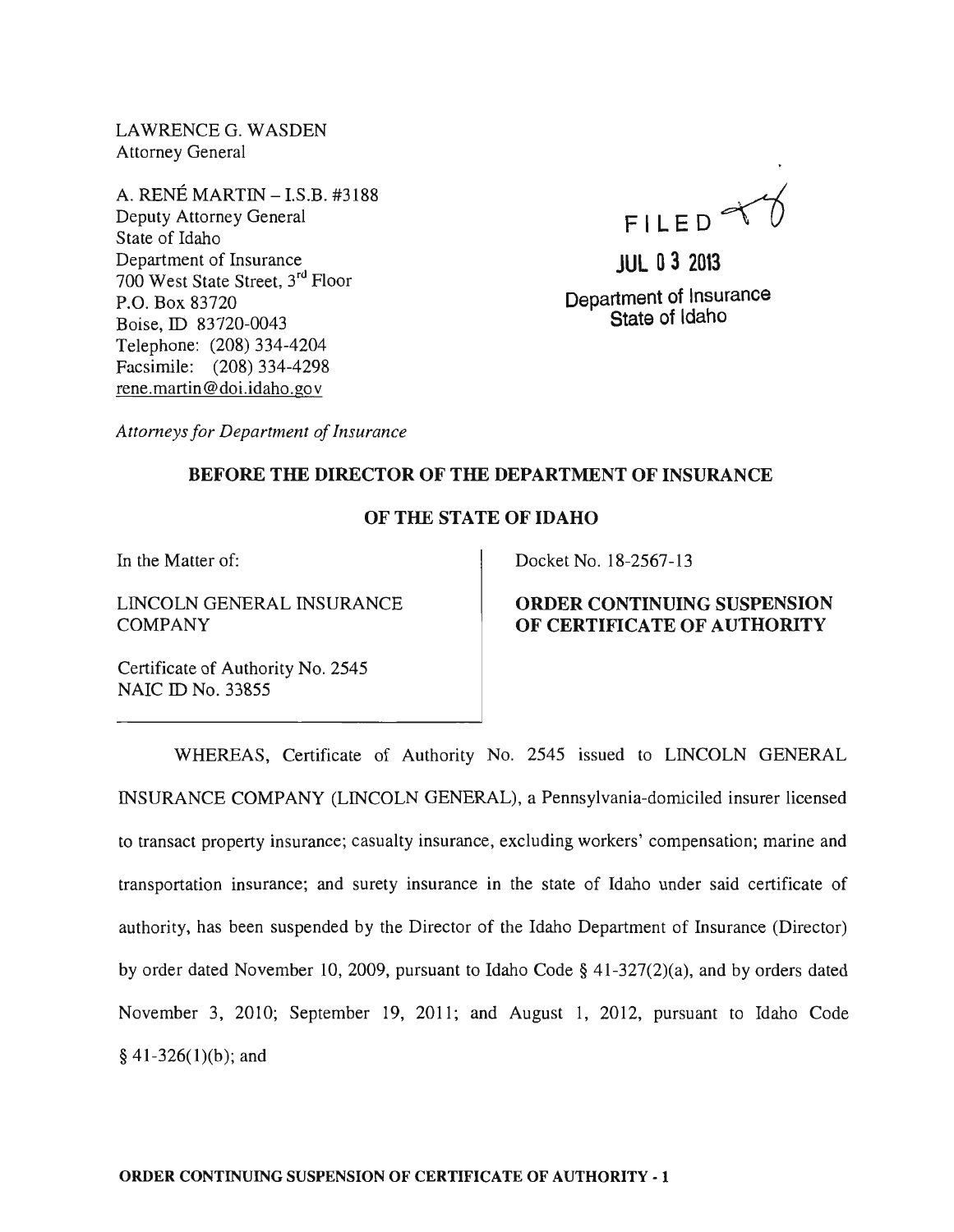LAWRENCEG. WASDEN Attorney General

A. RENE MARTIN -I.S.B. #3188 Deputy Attorney General State of Idaho Department of Insurance 700 West State Street, 3rd Floor P.O. Box 83720 Boise, ID 83720-0043 Telephone: (208) 334-4204 Facsimile: (208) 334-4298 rene. martin @doi.idaho.gov



**JUL 03 2013 Department of Insurance State of Idaho** 

*Attorneys for Department of Insurance* 

## **BEFORE THE DIRECTOR OF THE DEPARTMENT OF INSURANCE**

### **OF THE STATE OF IDAHO**

In the Matter of:

LINCOLN GENERAL INSURANCE **COMPANY** 

Docket No. 18-2567-13

# **ORDER CONTINUING SUSPENSION OF CERTIFICATE OF AUTHORITY**

Certificate of Authority No. 2545 NAIC ID No. 33855

WHEREAS, Certificate of Authority No. 2545 issued to LINCOLN GENERAL INSURANCE COMPANY (LINCOLN GENERAL), a Pennsylvania-domiciled insurer licensed to transact property insurance; casualty insurance, excluding workers' compensation; marine and transportation insurance; and surety insurance in the state of Idaho under said certificate of authority, has been suspended by the Director of the Idaho Department of Insurance (Director) by order dated November 10, 2009, pursuant to Idaho Code § 41-327(2)(a), and by orders dated November 3, 2010; September 19, 2011; and August 1, 2012, pursuant to Idaho Code  $§$  41-326(1)(b); and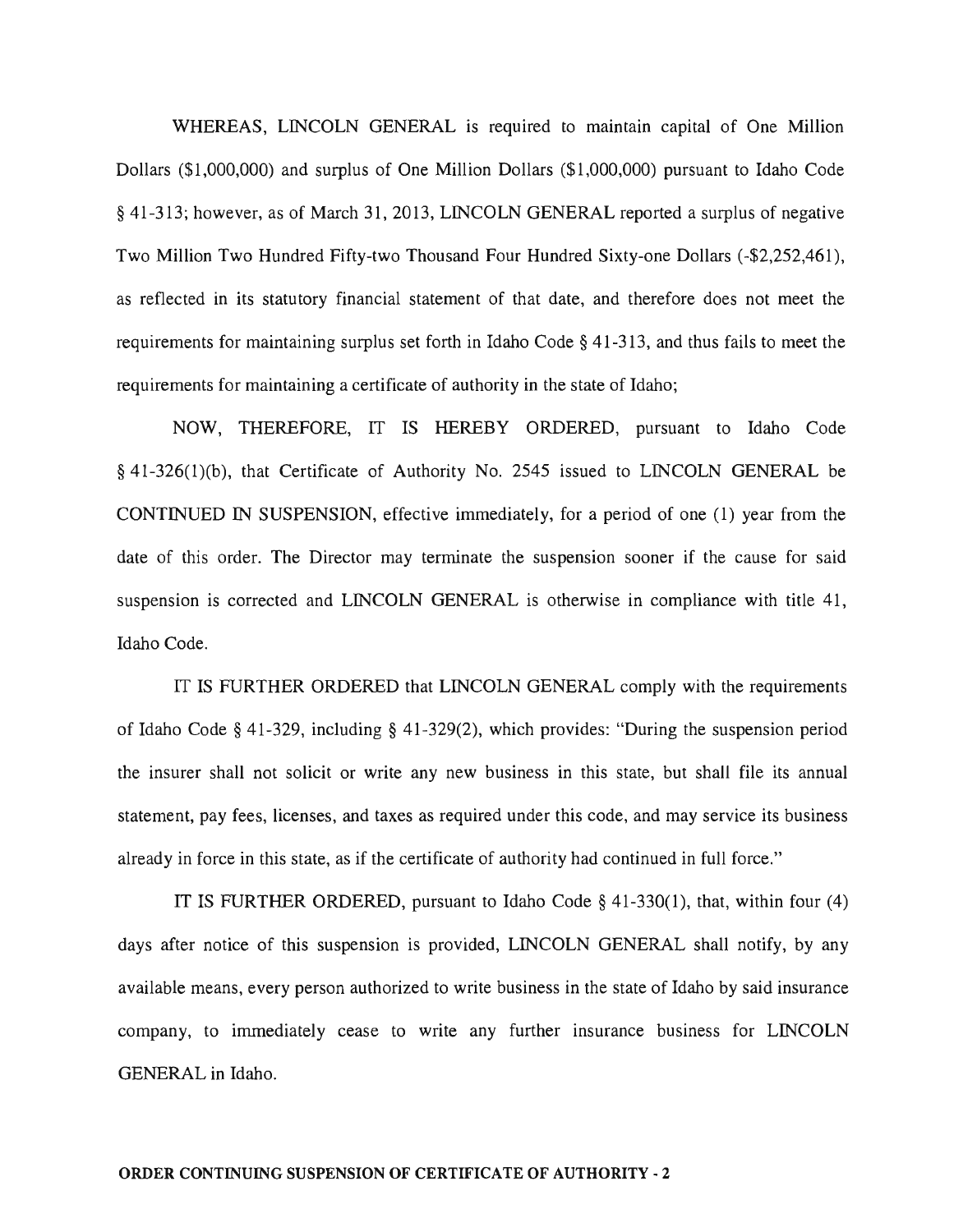WHEREAS, LINCOLN GENERAL is required to maintain capital of One Million Dollars (\$1,000,000) and surplus of One Million Dollars (\$1,000,000) pursuant to Idaho Code § 41-313; however, as of March 31, 2013, LINCOLN GENERAL reported a surplus of negative Two Million Two Hundred Fifty-two Thousand Four Hundred Sixty-one Dollars (-\$2,252,461), as reflected in its statutory financial statement of that date, and therefore does not meet the requirements for maintaining surplus set forth in Idaho Code § 41-313, and thus fails to meet the requirements for maintaining a certificate of authority in the state of Idaho;

NOW, THEREFORE, IT IS HEREBY ORDERED, pursuant to Idaho Code § 41-326(1)(b), that Certificate of Authority No. 2545 issued to LINCOLN GENERAL be CONTINUED IN SUSPENSION, effective immediately, for a period of one (1) year from the date of this order. The Director may terminate the suspension sooner if the cause for said suspension is corrected and LINCOLN GENERAL is otherwise in compliance with title 41, Idaho Code.

IT IS FURTHER ORDERED that LINCOLN GENERAL comply with the requirements of Idaho Code § 41-329, including § 41-329(2), which provides: "During the suspension period the insurer shall not solicit or write any new business in this state, but shall file its annual statement, pay fees, licenses, and taxes as required under this code, and may service its business already in force in this state, as if the certificate of authority had continued in full force."

IT IS FURTHER ORDERED, pursuant to Idaho Code § 41-330(1), that, within four (4) days after notice of this suspension is provided, LINCOLN GENERAL shall notify, by any available means, every person authorized to write business in the state of Idaho by said insurance company, to immediately cease to write any further insurance business for LINCOLN GENERAL in Idaho.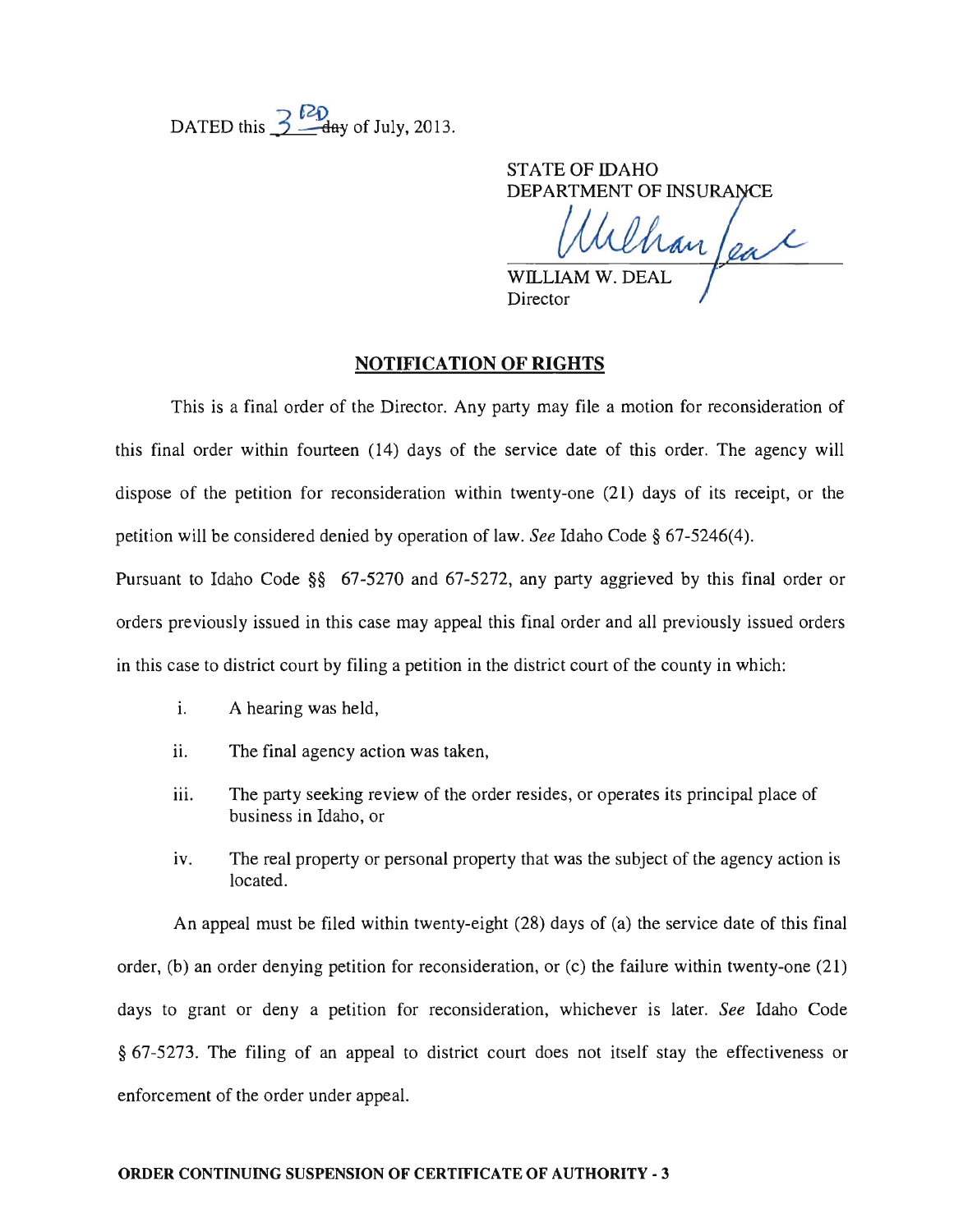DATED this  $\frac{7}{2}$  day of July, 2013.

STATE OF IDAHO DEPARTMENT OF INSURANCE

Chan feal

WILLIAM W. DEAI Director

## **NOTIFICATION OF RIGHTS**

This is a final order of the Director. Any party may file a motion for reconsideration of this final order within fourteen (14) days of the service date of this order. The agency will dispose of the petition for reconsideration within twenty-one (21) days of its receipt, or the petition will be considered denied by operation of law. *See* Idaho Code § 67-5246(4).

Pursuant to Idaho Code §§ 67-5270 and 67-5272, any party aggrieved by this final order or orders previously issued in this case may appeal this final order and all previously issued orders in this case to district court by filing a petition in the district court of the county in which:

- i. A hearing was held,
- ii. The final agency action was taken,
- iii. The party seeking review of the order resides, or operates its principal place of business in Idaho, or
- iv. The real property or personal property that was the subject of the agency action is located.

An appeal must be filed within twenty-eight (28) days of (a) the service date of this final order, (b) an order denying petition for reconsideration, or (c) the failure within twenty-one (21) days to grant or deny a petition for reconsideration, whichever is later. *See* Idaho Code § 67-5273. The filing of an appeal to district court does not itself stay the effectiveness or enforcement of the order under appeal.

#### ORDER CONTINUING SUSPENSION OF CERTIFICATE OF AUTHORITY - 3